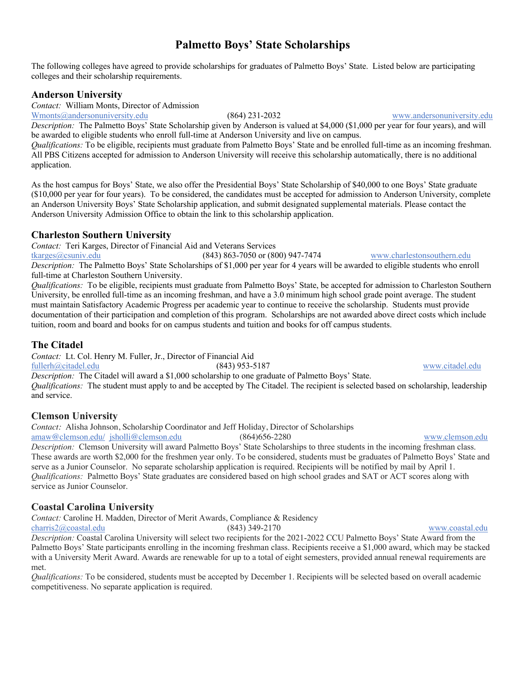# **Palmetto Boys' State Scholarships**

The following colleges have agreed to provide scholarships for graduates of Palmetto Boys' State. Listed below are participating colleges and their scholarship requirements.

### **Anderson University**

*Contact:* William Monts, Director of Admission

Wmonts@andersonuniversity.edu (864) 231-2032 www.andersonuniversity.edu

*Description:* The Palmetto Boys' State Scholarship given by Anderson is valued at \$4,000 (\$1,000 per year for four years), and will be awarded to eligible students who enroll full-time at Anderson University and live on campus.

*Qualifications:* To be eligible, recipients must graduate from Palmetto Boys' State and be enrolled full-time as an incoming freshman. All PBS Citizens accepted for admission to Anderson University will receive this scholarship automatically, there is no additional application.

As the host campus for Boys' State, we also offer the Presidential Boys' State Scholarship of \$40,000 to one Boys' State graduate (\$10,000 per year for four years). To be considered, the candidates must be accepted for admission to Anderson University, complete an Anderson University Boys' State Scholarship application, and submit designated supplemental materials. Please contact the Anderson University Admission Office to obtain the link to this scholarship application.

### **Charleston Southern University**

*Contact:* Teri Karges, Director of Financial Aid and Veterans Services

tkarges@csuniv.edu (843) 863-7050 or (800) 947-7474 www.charlestonsouthern.edu *Description:* The Palmetto Boys' State Scholarships of \$1,000 per year for 4 years will be awarded to eligible students who enroll full-time at Charleston Southern University.

*Qualifications:* To be eligible, recipients must graduate from Palmetto Boys' State, be accepted for admission to Charleston Southern University, be enrolled full-time as an incoming freshman, and have a 3.0 minimum high school grade point average. The student must maintain Satisfactory Academic Progress per academic year to continue to receive the scholarship. Students must provide documentation of their participation and completion of this program. Scholarships are not awarded above direct costs which include tuition, room and board and books for on campus students and tuition and books for off campus students.

### **The Citadel**

*Contact:* Lt. Col. Henry M. Fuller, Jr., Director of Financial Aid

fullerh@citadel.edu (843) 953-5187 www.citadel.edu

*Description:* The Citadel will award a \$1,000 scholarship to one graduate of Palmetto Boys' State. *Qualifications:* The student must apply to and be accepted by The Citadel. The recipient is selected based on scholarship, leadership and service.

### **Clemson University**

*Contact:* Alisha Johnson, Scholarship Coordinator and Jeff Holiday, Director of Scholarships

amaw@clemson.edu/ jsholli@clemson.edu (864)656-2280 www.clemson.edu

*Description:* Clemson University will award Palmetto Boys' State Scholarships to three students in the incoming freshman class. These awards are worth \$2,000 for the freshmen year only. To be considered, students must be graduates of Palmetto Boys' State and serve as a Junior Counselor. No separate scholarship application is required. Recipients will be notified by mail by April 1. *Qualifications:* Palmetto Boys' State graduates are considered based on high school grades and SAT or ACT scores along with service as Junior Counselor.

### **Coastal Carolina University**

*Contact:* Caroline H. Madden, Director of Merit Awards, Compliance & Residency

charris2@coastal.edu (843) 349-2170 www.coastal.edu

*Description:* Coastal Carolina University will select two recipients for the 2021-2022 CCU Palmetto Boys' State Award from the Palmetto Boys' State participants enrolling in the incoming freshman class. Recipients receive a \$1,000 award, which may be stacked with a University Merit Award. Awards are renewable for up to a total of eight semesters, provided annual renewal requirements are met.

*Qualifications:* To be considered, students must be accepted by December 1. Recipients will be selected based on overall academic competitiveness. No separate application is required.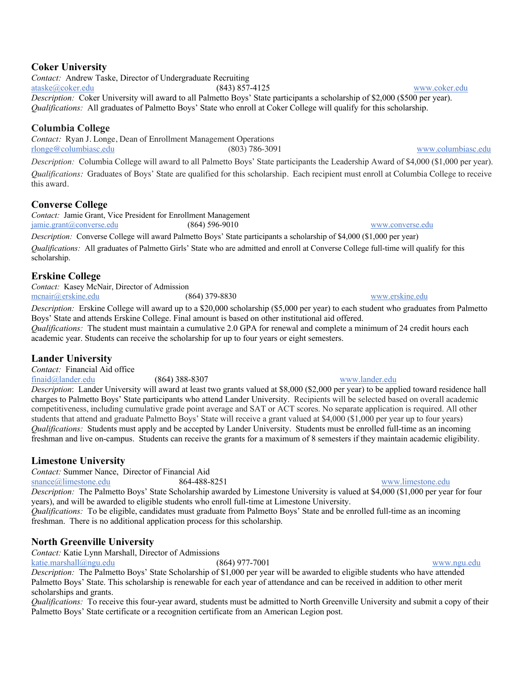### **Coker University**

*Contact:* Andrew Taske, Director of Undergraduate Recruiting ataske@coker.edu (843) 857-4125 www.coker.edu *Description:* Coker University will award to all Palmetto Boys' State participants a scholarship of \$2,000 (\$500 per year). *Qualifications:* All graduates of Palmetto Boys' State who enroll at Coker College will qualify for this scholarship.

### **Columbia College**

*Contact:* Ryan J. Longe, Dean of Enrollment Management Operations rlonge@columbiasc.edu (803) 786-3091 www.columbiasc.edu

*Description:* Columbia College will award to all Palmetto Boys' State participants the Leadership Award of \$4,000 (\$1,000 per year). *Qualifications:* Graduates of Boys' State are qualified for this scholarship. Each recipient must enroll at Columbia College to receive this award.

### **Converse College**

*Contact:* Jamie Grant, Vice President for Enrollment Management jamie.grant@converse.edu (864) 596-9010 www.converse.edu

*Description:* Converse College will award Palmetto Boys' State participants a scholarship of \$4,000 (\$1,000 per year) *Qualifications:* All graduates of Palmetto Girls' State who are admitted and enroll at Converse College full-time will qualify for this scholarship.

### **Erskine College**

*Contact:* Kasey McNair, Director of Admission mcnair@erskine.edu (864) 379-8830 www.erskine.edu

*Description:* Erskine College will award up to a \$20,000 scholarship (\$5,000 per year) to each student who graduates from Palmetto Boys' State and attends Erskine College. Final amount is based on other institutional aid offered.

*Qualifications:* The student must maintain a cumulative 2.0 GPA for renewal and complete a minimum of 24 credit hours each academic year. Students can receive the scholarship for up to four years or eight semesters.

## **Lander University**

*Contact:* Financial Aid office

finaid@lander.edu (864) 388-8307 www.lander.edu *Description*: Lander University will award at least two grants valued at \$8,000 (\$2,000 per year) to be applied toward residence hall charges to Palmetto Boys' State participants who attend Lander University. Recipients will be selected based on overall academic competitiveness, including cumulative grade point average and SAT or ACT scores. No separate application is required. All other students that attend and graduate Palmetto Boys' State will receive a grant valued at \$4,000 (\$1,000 per year up to four years) *Qualifications:* Students must apply and be accepted by Lander University. Students must be enrolled full-time as an incoming freshman and live on-campus. Students can receive the grants for a maximum of 8 semesters if they maintain academic eligibility.

### **Limestone University**

*Contact:* Summer Nance, Director of Financial Aid

snance@limestone.edu 864-488-8251 www.limestone.edu

*Description:* The Palmetto Boys' State Scholarship awarded by Limestone University is valued at \$4,000 (\$1,000 per year for four years), and will be awarded to eligible students who enroll full-time at Limestone University.

*Qualifications:* To be eligible, candidates must graduate from Palmetto Boys' State and be enrolled full-time as an incoming freshman. There is no additional application process for this scholarship.

## **North Greenville University**

*Contact:* Katie Lynn Marshall, Director of Admissions

katie.marshall@ngu.edu (864) 977-7001 www.ngu.edu

*Description:* The Palmetto Boys' State Scholarship of \$1,000 per year will be awarded to eligible students who have attended Palmetto Boys' State. This scholarship is renewable for each year of attendance and can be received in addition to other merit scholarships and grants.

*Qualifications:* To receive this four-year award, students must be admitted to North Greenville University and submit a copy of their Palmetto Boys' State certificate or a recognition certificate from an American Legion post.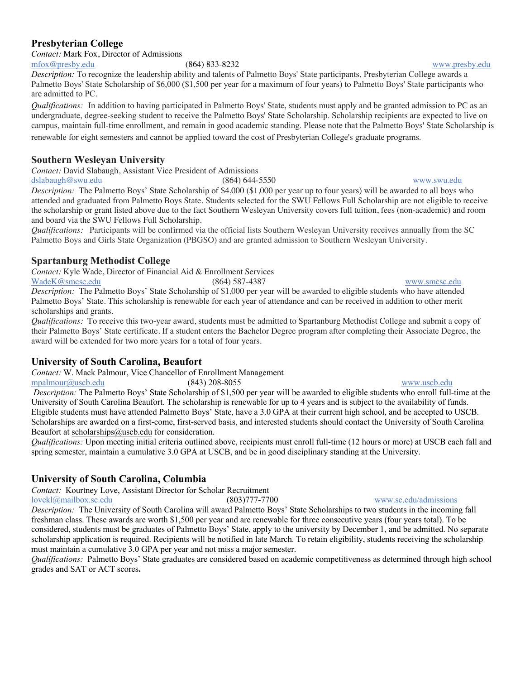### **Presbyterian College**

*Contact:* Mark Fox, Director of Admissions mfox@presby.edu (864) 833-8232 www.presby.edu

*Description:* To recognize the leadership ability and talents of Palmetto Boys' State participants, Presbyterian College awards a Palmetto Boys' State Scholarship of \$6,000 (\$1,500 per year for a maximum of four years) to Palmetto Boys' State participants who are admitted to PC.

*Qualifications:* In addition to having participated in Palmetto Boys' State, students must apply and be granted admission to PC as an undergraduate, degree-seeking student to receive the Palmetto Boys' State Scholarship. Scholarship recipients are expected to live on campus, maintain full-time enrollment, and remain in good academic standing. Please note that the Palmetto Boys' State Scholarship is renewable for eight semesters and cannot be applied toward the cost of Presbyterian College's graduate programs.

## **Southern Wesleyan University**

*Contact:* David Slabaugh, Assistant Vice President of Admissions

dslabaugh@swu.edu (864) 644-5550 www.swu.edu

*Description:* The Palmetto Boys' State Scholarship of \$4,000 (\$1,000 per year up to four years) will be awarded to all boys who attended and graduated from Palmetto Boys State. Students selected for the SWU Fellows Full Scholarship are not eligible to receive the scholarship or grant listed above due to the fact Southern Wesleyan University covers full tuition, fees (non-academic) and room and board via the SWU Fellows Full Scholarship.

*Qualifications:* Participants will be confirmed via the official lists Southern Wesleyan University receives annually from the SC Palmetto Boys and Girls State Organization (PBGSO) and are granted admission to Southern Wesleyan University.

## **Spartanburg Methodist College**

*Contact:* Kyle Wade, Director of Financial Aid & Enrollment Services

WadeK@smcsc.edu (864) 587-4387 www.smcsc.edu *Description:* The Palmetto Boys' State Scholarship of \$1,000 per year will be awarded to eligible students who have attended Palmetto Boys' State. This scholarship is renewable for each year of attendance and can be received in addition to other merit scholarships and grants.

*Qualifications:* To receive this two-year award, students must be admitted to Spartanburg Methodist College and submit a copy of their Palmetto Boys' State certificate. If a student enters the Bachelor Degree program after completing their Associate Degree, the award will be extended for two more years for a total of four years.

## **University of South Carolina, Beaufort**

*Contact:* W. Mack Palmour, Vice Chancellor of Enrollment Management

mpalmour@uscb.edu (843) 208-8055 www.uscb.edu

*Description:* The Palmetto Boys' State Scholarship of \$1,500 per year will be awarded to eligible students who enroll full-time at the University of South Carolina Beaufort. The scholarship is renewable for up to 4 years and is subject to the availability of funds. Eligible students must have attended Palmetto Boys' State, have a 3.0 GPA at their current high school, and be accepted to USCB. Scholarships are awarded on a first-come, first-served basis, and interested students should contact the University of South Carolina Beaufort at scholarships@uscb.edu for consideration.

*Qualifications:* Upon meeting initial criteria outlined above, recipients must enroll full-time (12 hours or more) at USCB each fall and spring semester, maintain a cumulative 3.0 GPA at USCB, and be in good disciplinary standing at the University.

## **University of South Carolina, Columbia**

*Contact:* Kourtney Love, Assistant Director for Scholar Recruitment

lovekl@mailbox.sc.edu (803)777-7700 www.sc.edu/admissions

*Description:* The University of South Carolina will award Palmetto Boys' State Scholarships to two students in the incoming fall freshman class. These awards are worth \$1,500 per year and are renewable for three consecutive years (four years total). To be considered, students must be graduates of Palmetto Boys' State, apply to the university by December 1, and be admitted. No separate scholarship application is required. Recipients will be notified in late March. To retain eligibility, students receiving the scholarship must maintain a cumulative 3.0 GPA per year and not miss a major semester.

*Qualifications:* Palmetto Boys' State graduates are considered based on academic competitiveness as determined through high school grades and SAT or ACT scores**.**